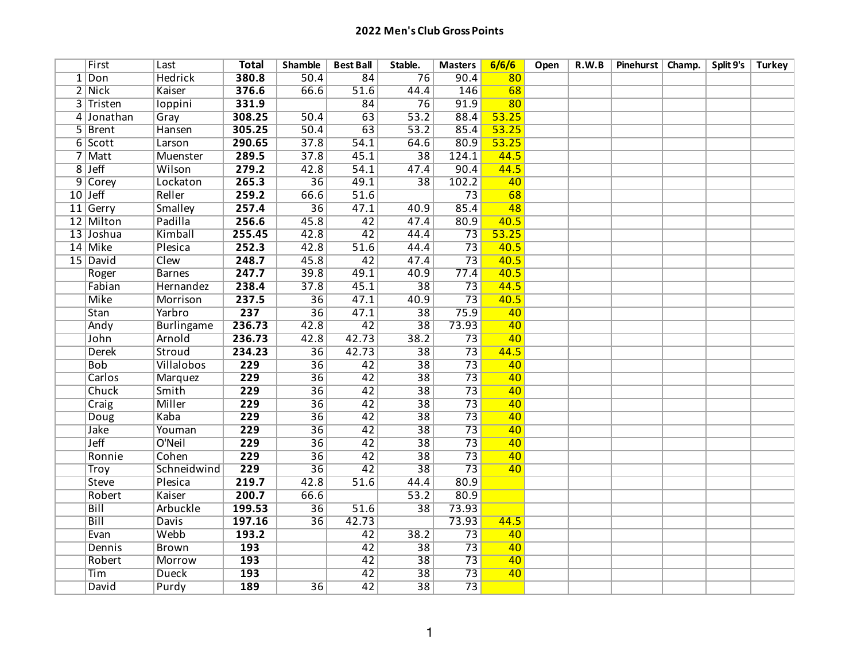| First             | Last              | <b>Total</b>     | <b>Shamble</b>  | <b>Best Ball</b> | Stable.         | <b>Masters</b>  | 6/6/6           | Open | R.W.B | Pinehurst   Champ. | Split 9's | <b>Turkey</b> |
|-------------------|-------------------|------------------|-----------------|------------------|-----------------|-----------------|-----------------|------|-------|--------------------|-----------|---------------|
| $1$ Don           | <b>Hedrick</b>    | 380.8            | 50.4            | 84               | 76              | 90.4            | 80              |      |       |                    |           |               |
| $2$ Nick          | Kaiser            | 376.6            | 66.6            | 51.6             | 44.4            | 146             | 68              |      |       |                    |           |               |
| 3 Tristen         | loppini           | 331.9            |                 | 84               | $\overline{76}$ | 91.9            | 80              |      |       |                    |           |               |
| 4 Jonathan        | Gray              | 308.25           | 50.4            | 63               | 53.2            | 88.4            | 53.25           |      |       |                    |           |               |
| $5$  Brent        | Hansen            | 305.25           | 50.4            | 63               | 53.2            | 85.4            | 53.25           |      |       |                    |           |               |
| 6 Scott           | Larson            | 290.65           | 37.8            | 54.1             | 64.6            | 80.9            | 53.25           |      |       |                    |           |               |
| 7 Matt            | <b>Muenster</b>   | 289.5            | 37.8            | 45.1             | $\overline{38}$ | 124.1           | 44.5            |      |       |                    |           |               |
| $8$ Jeff          | Wilson            | 279.2            | 42.8            | 54.1             | 47.4            | 90.4            | 44.5            |      |       |                    |           |               |
| 9 Corey           | Lockaton          | 265.3            | $\overline{36}$ | 49.1             | $\overline{38}$ | 102.2           | 40              |      |       |                    |           |               |
| $10$ Jeff         | Reller            | 259.2            | 66.6            | 51.6             |                 | $\overline{73}$ | 68              |      |       |                    |           |               |
| 11 Gerry          | <b>Smalley</b>    | 257.4            | $\overline{36}$ | 47.1             | 40.9            | 85.4            | $\overline{48}$ |      |       |                    |           |               |
| 12 Milton         | Padilla           | 256.6            | 45.8            | 42               | 47.4            | 80.9            | 40.5            |      |       |                    |           |               |
| 13 Joshua         | Kimball           | 255.45           | 42.8            | 42               | 44.4            | $\overline{73}$ | 53.25           |      |       |                    |           |               |
| 14 Mike           | Plesica           | 252.3            | 42.8            | 51.6             | 44.4            | $\overline{73}$ | 40.5            |      |       |                    |           |               |
| 15 David          | Clew              | 248.7            | 45.8            | 42               | 47.4            | $\overline{73}$ | 40.5            |      |       |                    |           |               |
| Roger             | <b>Barnes</b>     | 247.7            | 39.8            | 49.1             | 40.9            | 77.4            | 40.5            |      |       |                    |           |               |
| Fabian            | Hernandez         | 238.4            | 37.8            | 45.1             | $\overline{38}$ | $\overline{73}$ | 44.5            |      |       |                    |           |               |
| <b>Mike</b>       | <b>Morrison</b>   | 237.5            | $\overline{36}$ | 47.1             | 40.9            | $\overline{73}$ | 40.5            |      |       |                    |           |               |
| <b>Stan</b>       | Yarbro            | $\overline{237}$ | $\overline{36}$ | 47.1             | $\overline{38}$ | 75.9            | 40              |      |       |                    |           |               |
| Andy              | <b>Burlingame</b> | 236.73           | 42.8            | 42               | $\overline{38}$ | 73.93           | 40              |      |       |                    |           |               |
| John              | Arnold            | 236.73           | 42.8            | 42.73            | 38.2            | $\overline{73}$ | 40              |      |       |                    |           |               |
| <b>Derek</b>      | <b>Stroud</b>     | 234.23           | $\overline{36}$ | 42.73            | $\overline{38}$ | $\overline{73}$ | 44.5            |      |       |                    |           |               |
| <b>Bob</b>        | Villalobos        | 229              | $\overline{36}$ | 42               | $\overline{38}$ | $\overline{73}$ | 40              |      |       |                    |           |               |
| Carlos            | Marquez           | 229              | $\overline{36}$ | $\overline{42}$  | $\overline{38}$ | $\overline{73}$ | 40              |      |       |                    |           |               |
| Chuck             | Smith             | $\overline{229}$ | 36              | $\overline{42}$  | $\overline{38}$ | $\overline{73}$ | 40              |      |       |                    |           |               |
| Craig             | Miller            | $\overline{229}$ | $\overline{36}$ | $\overline{42}$  | $\overline{38}$ | $\overline{73}$ | 40              |      |       |                    |           |               |
| Doug              | Kaba              | $\overline{229}$ | $\overline{36}$ | $\overline{42}$  | $\overline{38}$ | $\overline{73}$ | 40              |      |       |                    |           |               |
| <b>Jake</b>       | Youman            | $\overline{229}$ | $\overline{36}$ | $\overline{42}$  | $\overline{38}$ | $\overline{73}$ | 40              |      |       |                    |           |               |
| <b>Jeff</b>       | O'Neil            | 229              | $\overline{36}$ | $\overline{42}$  | $\overline{38}$ | $\overline{73}$ | 40              |      |       |                    |           |               |
| Ronnie            | Cohen             | 229              | $\overline{36}$ | 42               | $\overline{38}$ | $\overline{73}$ | 40              |      |       |                    |           |               |
| <b>Troy</b>       | Schneidwind       | $\overline{229}$ | $\overline{36}$ | 42               | $\overline{38}$ | $\overline{73}$ | 40              |      |       |                    |           |               |
| <b>Steve</b>      | Plesica           | 219.7            | 42.8            | 51.6             | 44.4            | 80.9            |                 |      |       |                    |           |               |
| Robert            | Kaiser            | 200.7            | 66.6            |                  | 53.2            | 80.9            |                 |      |       |                    |           |               |
| $\overline{BiII}$ | Arbuckle          | 199.53           | $\overline{36}$ | 51.6             | $\overline{38}$ | 73.93           |                 |      |       |                    |           |               |
| Bill              | <b>Davis</b>      | 197.16           | $\overline{36}$ | 42.73            |                 | 73.93           | 44.5            |      |       |                    |           |               |
| Evan              | Webb              | 193.2            |                 | $\overline{42}$  | 38.2            | $\overline{73}$ | 40              |      |       |                    |           |               |
| Dennis            | <b>Brown</b>      | 193              |                 | $\overline{42}$  | $\overline{38}$ | $\overline{73}$ | 40              |      |       |                    |           |               |
| Robert            | <b>Morrow</b>     | 193              |                 | $\overline{42}$  | $\overline{38}$ | $\overline{73}$ | 40              |      |       |                    |           |               |
| <b>Tim</b>        | <b>Dueck</b>      | 193              |                 | $\overline{42}$  | $\overline{38}$ | $\overline{73}$ | 40              |      |       |                    |           |               |
| David             | Purdy             | 189              | $\overline{36}$ | $\overline{42}$  | $\overline{38}$ | $\overline{73}$ |                 |      |       |                    |           |               |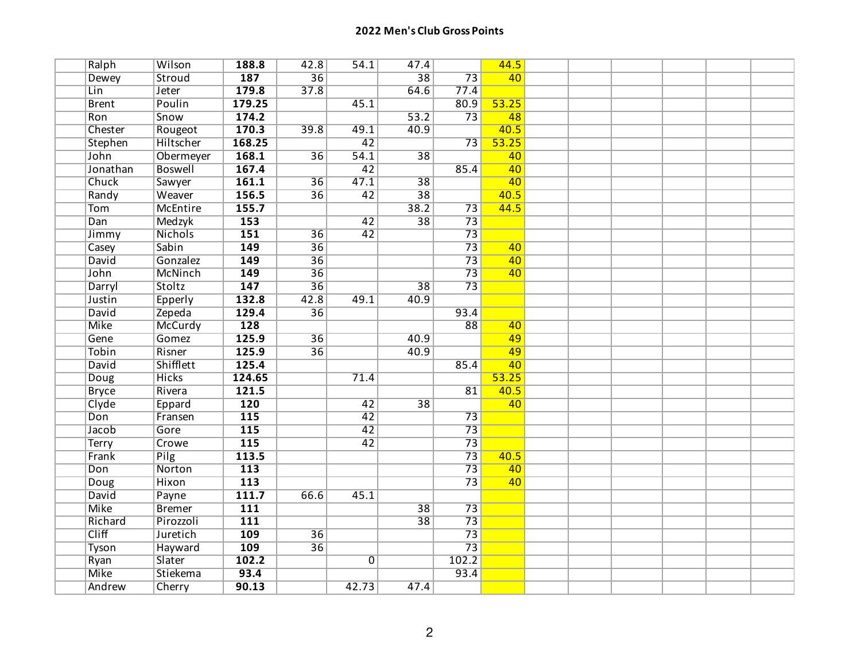| Ralph                   | Wilson          | 188.8            | 42.8            | 54.1            | 47.4            |                 | 44.5  |  |  |  |
|-------------------------|-----------------|------------------|-----------------|-----------------|-----------------|-----------------|-------|--|--|--|
| Dewey                   | <b>Stroud</b>   | 187              | $\overline{36}$ |                 | $\overline{38}$ | $\overline{73}$ | 40    |  |  |  |
| $\overline{\text{Lin}}$ | Jeter           | 179.8            | 37.8            |                 | 64.6            | 77.4            |       |  |  |  |
| <b>Brent</b>            | Poulin          | 179.25           |                 | 45.1            |                 | 80.9            | 53.25 |  |  |  |
| <b>Ron</b>              | Snow            | 174.2            |                 |                 | 53.2            | $\overline{73}$ | 48    |  |  |  |
| Chester                 | Rougeot         | 170.3            | 39.8            | 49.1            | 40.9            |                 | 40.5  |  |  |  |
| Stephen                 | Hiltscher       | 168.25           |                 | $\overline{42}$ |                 | $\overline{73}$ | 53.25 |  |  |  |
| John                    | Obermeyer       | 168.1            | $\overline{36}$ | 54.1            | $\overline{38}$ |                 | 40    |  |  |  |
| Jonathan                | <b>Boswell</b>  | 167.4            |                 | $\overline{42}$ |                 | 85.4            | 40    |  |  |  |
| Chuck                   | Sawyer          | 161.1            | $\overline{36}$ | 47.1            | $\overline{38}$ |                 | 40    |  |  |  |
| Randy                   | Weaver          | 156.5            | $\overline{36}$ | $\overline{42}$ | $\overline{38}$ |                 | 40.5  |  |  |  |
| <b>Tom</b>              | <b>McEntire</b> | 155.7            |                 |                 | 38.2            | 73              | 44.5  |  |  |  |
| $\overline{Dan}$        | Medzyk          | 153              |                 | $\overline{42}$ | $\overline{38}$ | $\overline{73}$ |       |  |  |  |
| Jimmy                   | <b>Nichols</b>  | 151              | $\overline{36}$ | $\overline{42}$ |                 | $\overline{73}$ |       |  |  |  |
| Casey                   | Sabin           | 149              | $\overline{36}$ |                 |                 | $\overline{73}$ | 40    |  |  |  |
| <b>David</b>            | Gonzalez        | 149              | $\overline{36}$ |                 |                 | $\overline{73}$ | 40    |  |  |  |
| John                    | <b>McNinch</b>  | 149              | $\overline{36}$ |                 |                 | $\overline{73}$ | 40    |  |  |  |
| Darryl                  | Stoltz          | 147              | $\overline{36}$ |                 | $\overline{38}$ | $\overline{73}$ |       |  |  |  |
| Justin                  | Epperly         | 132.8            | 42.8            | 49.1            | 40.9            |                 |       |  |  |  |
| David                   | Zepeda          | 129.4            | $\overline{36}$ |                 |                 | 93.4            |       |  |  |  |
| <b>Mike</b>             | McCurdy         | $\overline{128}$ |                 |                 |                 | $\overline{88}$ | 40    |  |  |  |
| Gene                    | Gomez           | 125.9            | $\overline{36}$ |                 | 40.9            |                 | 49    |  |  |  |
| <b>Tobin</b>            | Risner          | 125.9            | $\overline{36}$ |                 | 40.9            |                 | 49    |  |  |  |
| <b>David</b>            | Shifflett       | 125.4            |                 |                 |                 | 85.4            | 40    |  |  |  |
| <b>Doug</b>             | <b>Hicks</b>    | 124.65           |                 | 71.4            |                 |                 | 53.25 |  |  |  |
| <b>Bryce</b>            | Rivera          | 121.5            |                 |                 |                 | 81              | 40.5  |  |  |  |
| Clyde                   | Eppard          | 120              |                 | 42              | $\overline{38}$ |                 | 40    |  |  |  |
| <b>Don</b>              | Fransen         | 115              |                 | $\overline{42}$ |                 | 73              |       |  |  |  |
| Jacob                   | Gore            | $\overline{115}$ |                 | 42              |                 | $\overline{73}$ |       |  |  |  |
| <b>Terry</b>            | Crowe           | 115              |                 | $\overline{42}$ |                 | $\overline{73}$ |       |  |  |  |
| Frank                   | Pilg            | 113.5            |                 |                 |                 | $\overline{73}$ | 40.5  |  |  |  |
| Don                     | Norton          | 113              |                 |                 |                 | $\overline{73}$ | 40    |  |  |  |
| <b>Doug</b>             | <b>Hixon</b>    | $\overline{113}$ |                 |                 |                 | $\overline{73}$ | 40    |  |  |  |
| David                   | Payne           | 111.7            | 66.6            | 45.1            |                 |                 |       |  |  |  |
| <b>Mike</b>             | <b>Bremer</b>   | 111              |                 |                 | $\overline{38}$ | $\overline{73}$ |       |  |  |  |
| Richard                 | Pirozzoli       | 111              |                 |                 | $\overline{38}$ | $\overline{73}$ |       |  |  |  |
| Cliff                   | Juretich        | 109              | $\overline{36}$ |                 |                 | $\overline{73}$ |       |  |  |  |
| <b>Tyson</b>            | Hayward         | 109              | $\overline{36}$ |                 |                 | $\overline{73}$ |       |  |  |  |
| Ryan                    | Slater          | 102.2            |                 | $\overline{0}$  |                 | 102.2           |       |  |  |  |
| <b>Mike</b>             | Stiekema        | 93.4             |                 |                 |                 | 93.4            |       |  |  |  |
| Andrew                  | Cherry          | 90.13            |                 | 42.73           | 47.4            |                 |       |  |  |  |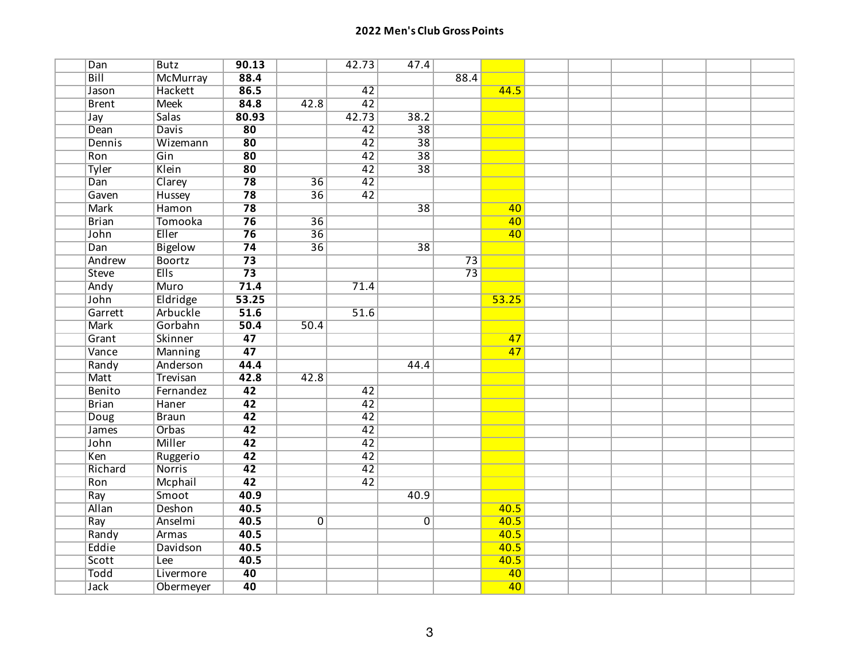| <b>Dan</b>        | <b>Butz</b>       | 90.13             |                 | 42.73           | 47.4            |                 |       |  |  |  |
|-------------------|-------------------|-------------------|-----------------|-----------------|-----------------|-----------------|-------|--|--|--|
| $\overline{Bill}$ | <b>McMurray</b>   | 88.4              |                 |                 |                 | 88.4            |       |  |  |  |
| Jason             | <b>Hackett</b>    | 86.5              |                 | $\overline{42}$ |                 |                 | 44.5  |  |  |  |
| <b>Brent</b>      | <b>Meek</b>       | 84.8              | 42.8            | $\overline{42}$ |                 |                 |       |  |  |  |
| Jay               | <b>Salas</b>      | 80.93             |                 | 42.73           | 38.2            |                 |       |  |  |  |
| Dean              | <b>Davis</b>      | 80                |                 | $\overline{42}$ | $\overline{38}$ |                 |       |  |  |  |
| <b>Dennis</b>     | Wizemann          | 80                |                 | 42              | $\overline{38}$ |                 |       |  |  |  |
| <b>Ron</b>        | $\overline{G}$ in | 80                |                 | $\overline{42}$ | $\overline{38}$ |                 |       |  |  |  |
| Tyler             | Klein             | 80                |                 | $\overline{42}$ | $\overline{38}$ |                 |       |  |  |  |
| <b>Dan</b>        | Clarey            | 78                | $\overline{36}$ | 42              |                 |                 |       |  |  |  |
| Gaven             | <b>Hussey</b>     | $\overline{78}$   | $\overline{36}$ | 42              |                 |                 |       |  |  |  |
| <b>Mark</b>       | Hamon             | $\overline{78}$   |                 |                 | $\overline{38}$ |                 | 40    |  |  |  |
| <b>Brian</b>      | Tomooka           | $\overline{76}$   | $\overline{36}$ |                 |                 |                 | 40    |  |  |  |
| John              | Eller             | $\overline{76}$   | $\overline{36}$ |                 |                 |                 | 40    |  |  |  |
| $\overline{Dan}$  | Bigelow           | $\overline{74}$   | $\overline{36}$ |                 | $\overline{38}$ |                 |       |  |  |  |
| Andrew            | <b>Boortz</b>     | $\overline{73}$   |                 |                 |                 | 73              |       |  |  |  |
| <b>Steve</b>      | EIIs              | $\overline{73}$   |                 |                 |                 | $\overline{73}$ |       |  |  |  |
| Andy              | Muro              | 71.4              |                 | 71.4            |                 |                 |       |  |  |  |
| John              | Eldridge          | 53.25             |                 |                 |                 |                 | 53.25 |  |  |  |
| Garrett           | Arbuckle          | $\overline{51.6}$ |                 | 51.6            |                 |                 |       |  |  |  |
| <b>Mark</b>       | Gorbahn           | 50.4              | 50.4            |                 |                 |                 |       |  |  |  |
| Grant             | Skinner           | $\overline{47}$   |                 |                 |                 |                 | 47    |  |  |  |
| Vance             | <b>Manning</b>    | $\overline{47}$   |                 |                 |                 |                 | 47    |  |  |  |
| Randy             | Anderson          | 44.4              |                 |                 | 44.4            |                 |       |  |  |  |
| <b>Matt</b>       | Trevisan          | 42.8              | 42.8            |                 |                 |                 |       |  |  |  |
| Benito            | Fernandez         | $\overline{42}$   |                 | $\overline{42}$ |                 |                 |       |  |  |  |
| <b>Brian</b>      | <b>Haner</b>      | $\overline{42}$   |                 | $\overline{42}$ |                 |                 |       |  |  |  |
| <b>Doug</b>       | <b>Braun</b>      | $\overline{42}$   |                 | $\overline{42}$ |                 |                 |       |  |  |  |
| <b>James</b>      | Orbas             | $\overline{42}$   |                 | $\overline{42}$ |                 |                 |       |  |  |  |
| John              | <b>Miller</b>     | $\overline{42}$   |                 | $\overline{42}$ |                 |                 |       |  |  |  |
| Ken               | Ruggerio          | $\overline{42}$   |                 | $\overline{42}$ |                 |                 |       |  |  |  |
| Richard           | <b>Norris</b>     | $\overline{42}$   |                 | 42              |                 |                 |       |  |  |  |
| <b>Ron</b>        | Mcphail           | $\overline{42}$   |                 | $\overline{42}$ |                 |                 |       |  |  |  |
| Ray               | Smoot             | 40.9              |                 |                 | 40.9            |                 |       |  |  |  |
| <b>Allan</b>      | Deshon            | 40.5              |                 |                 |                 |                 | 40.5  |  |  |  |
| Ray               | Anselmi           | 40.5              | $\overline{0}$  |                 | $\overline{0}$  |                 | 40.5  |  |  |  |
| Randy             | Armas             | 40.5              |                 |                 |                 |                 | 40.5  |  |  |  |
| Eddie             | Davidson          | 40.5              |                 |                 |                 |                 | 40.5  |  |  |  |
| Scott             | Lee               | 40.5              |                 |                 |                 |                 | 40.5  |  |  |  |
| Todd              | Livermore         | $\overline{40}$   |                 |                 |                 |                 | 40    |  |  |  |
| <b>Jack</b>       | Obermeyer         | $\overline{40}$   |                 |                 |                 |                 | 40    |  |  |  |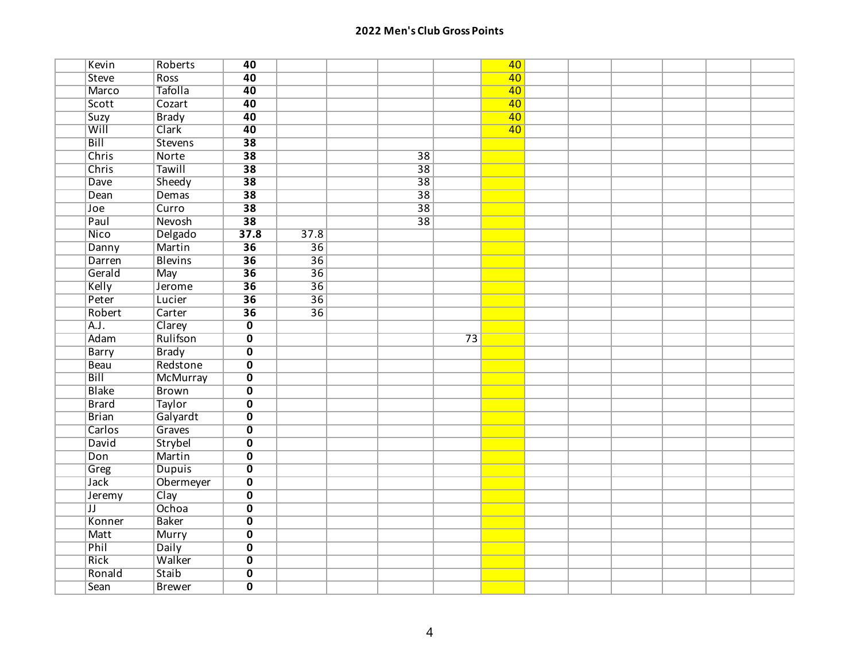| Kevin                   | Roberts         | 40                      |                 |                 |    | 40 |  |  |  |
|-------------------------|-----------------|-------------------------|-----------------|-----------------|----|----|--|--|--|
| <b>Steve</b>            | <b>Ross</b>     | $\overline{40}$         |                 |                 |    | 40 |  |  |  |
| Marco                   | <b>Tafolla</b>  | 40                      |                 |                 |    | 40 |  |  |  |
| Scott                   | Cozart          | 40                      |                 |                 |    | 40 |  |  |  |
| Suzy                    | <b>Brady</b>    | 40                      |                 |                 |    | 40 |  |  |  |
| Will                    | Clark           | 40                      |                 |                 |    | 40 |  |  |  |
| $\overline{Bill}$       | <b>Stevens</b>  | $\overline{38}$         |                 |                 |    |    |  |  |  |
| Chris                   | <b>Norte</b>    | $\overline{38}$         |                 | $\overline{38}$ |    |    |  |  |  |
| <b>Chris</b>            | Tawill          | $\overline{38}$         |                 | $\overline{38}$ |    |    |  |  |  |
| <b>Dave</b>             | Sheedy          | 38                      |                 | $\overline{38}$ |    |    |  |  |  |
| Dean                    | Demas           | $\overline{38}$         |                 | $\overline{38}$ |    |    |  |  |  |
| Joe                     | Curro           | 38                      |                 | $\overline{38}$ |    |    |  |  |  |
| Paul                    | Nevosh          | $\overline{38}$         |                 | $\overline{38}$ |    |    |  |  |  |
| <b>Nico</b>             | Delgado         | 37.8                    | 37.8            |                 |    |    |  |  |  |
| Danny                   | Martin          | $\overline{36}$         | $\overline{36}$ |                 |    |    |  |  |  |
| Darren                  | <b>Blevins</b>  | $\overline{36}$         | $\overline{36}$ |                 |    |    |  |  |  |
| Gerald                  | May             | $\overline{36}$         | $\overline{36}$ |                 |    |    |  |  |  |
| Kelly                   | Jerome          | $\overline{36}$         | $\overline{36}$ |                 |    |    |  |  |  |
| Peter                   | Lucier          | $\overline{36}$         | $\overline{36}$ |                 |    |    |  |  |  |
| Robert                  | Carter          | $\overline{36}$         | $\overline{36}$ |                 |    |    |  |  |  |
| A.J.                    | Clarey          | $\overline{\mathbf{0}}$ |                 |                 |    |    |  |  |  |
| Adam                    | Rulifson        | $\overline{\mathbf{0}}$ |                 |                 | 73 |    |  |  |  |
| <b>Barry</b>            | <b>Brady</b>    | $\overline{\mathbf{0}}$ |                 |                 |    |    |  |  |  |
| <b>Beau</b>             | Redstone        | $\overline{\mathbf{0}}$ |                 |                 |    |    |  |  |  |
| Bill                    | <b>McMurray</b> | $\overline{\mathbf{0}}$ |                 |                 |    |    |  |  |  |
| <b>Blake</b>            | <b>Brown</b>    | $\overline{\mathbf{o}}$ |                 |                 |    |    |  |  |  |
| <b>Brard</b>            | <b>Taylor</b>   | $\overline{\mathbf{0}}$ |                 |                 |    |    |  |  |  |
| <b>Brian</b>            | Galyardt        | $\overline{\mathbf{o}}$ |                 |                 |    |    |  |  |  |
| Carlos                  | Graves          | $\overline{\mathbf{0}}$ |                 |                 |    |    |  |  |  |
| David                   | Strybel         | $\overline{\mathbf{0}}$ |                 |                 |    |    |  |  |  |
| Don                     | Martin          | $\overline{\mathbf{0}}$ |                 |                 |    |    |  |  |  |
| Greg                    | <b>Dupuis</b>   | $\overline{\mathbf{0}}$ |                 |                 |    |    |  |  |  |
| <b>Jack</b>             | Obermeyer       | $\overline{\mathbf{0}}$ |                 |                 |    |    |  |  |  |
| Jeremy                  | Clay            | $\overline{\mathbf{o}}$ |                 |                 |    |    |  |  |  |
| $\overline{\mathsf{u}}$ | Ochoa           | $\overline{\mathbf{0}}$ |                 |                 |    |    |  |  |  |
| Konner                  | <b>Baker</b>    | $\overline{\mathbf{0}}$ |                 |                 |    |    |  |  |  |
| <b>Matt</b>             | <b>Murry</b>    | $\overline{\mathbf{0}}$ |                 |                 |    |    |  |  |  |
| Phil                    | Daily           | $\overline{\mathbf{0}}$ |                 |                 |    |    |  |  |  |
| <b>Rick</b>             | Walker          | $\overline{\mathbf{0}}$ |                 |                 |    |    |  |  |  |
| Ronald                  | <b>Staib</b>    | $\overline{\mathbf{0}}$ |                 |                 |    |    |  |  |  |
| Sean                    | <b>Brewer</b>   | $\overline{\mathbf{0}}$ |                 |                 |    |    |  |  |  |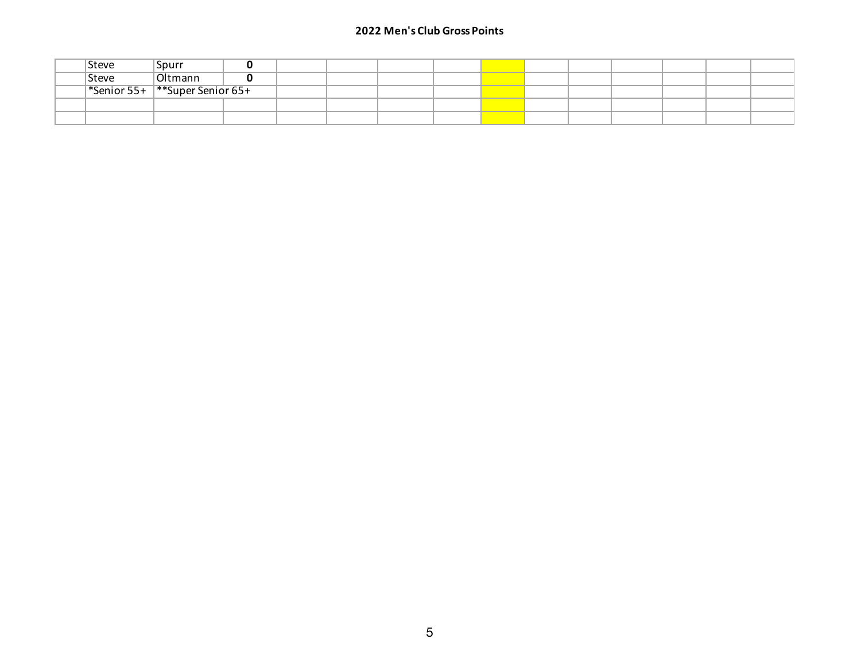| <b>Steve</b> | Spurr                                                  |  |  |  |  |  |  |  |
|--------------|--------------------------------------------------------|--|--|--|--|--|--|--|
| <b>Steve</b> | Oltmann                                                |  |  |  |  |  |  |  |
|              | <sup>*</sup> Senior 55+ <sup>**</sup> Super Senior 65+ |  |  |  |  |  |  |  |
|              |                                                        |  |  |  |  |  |  |  |
|              |                                                        |  |  |  |  |  |  |  |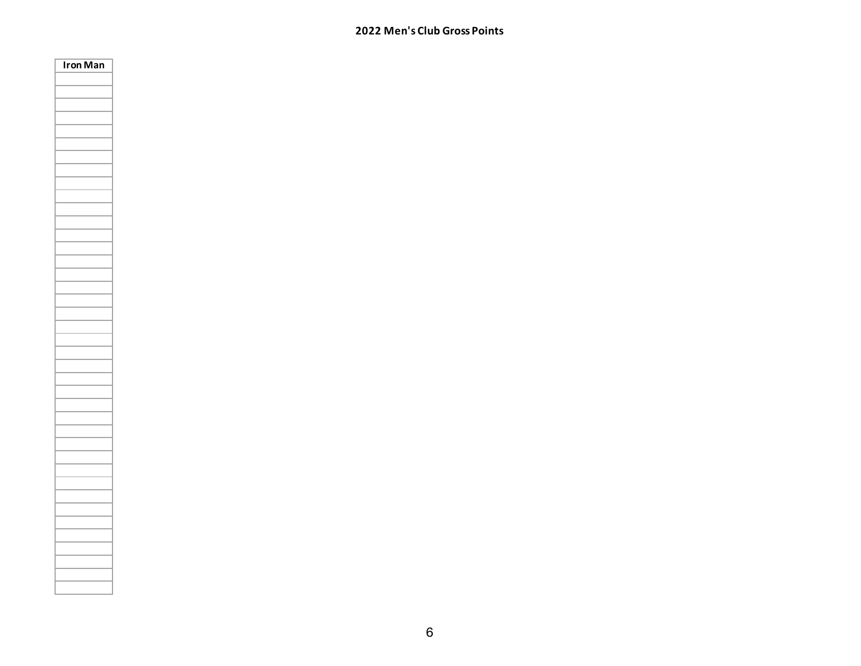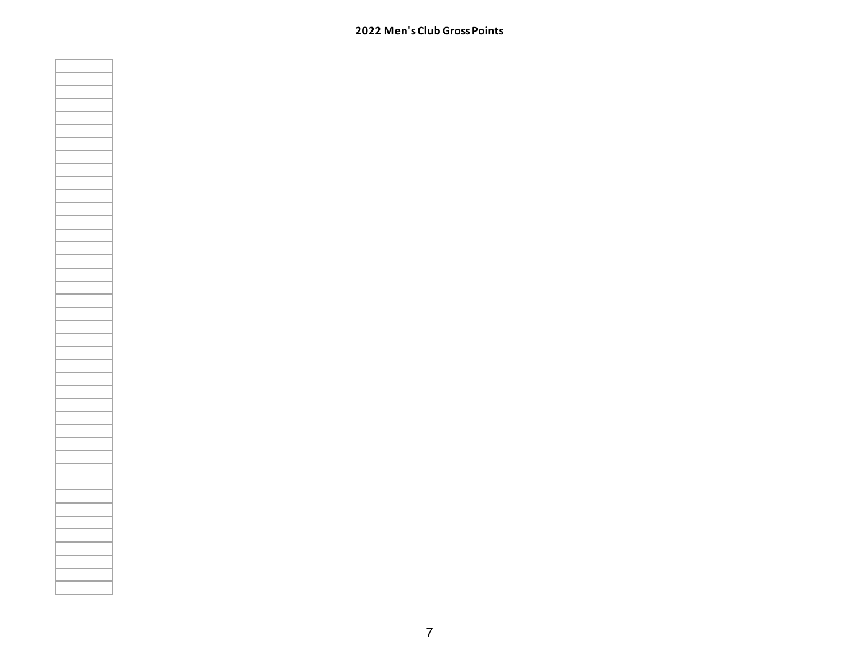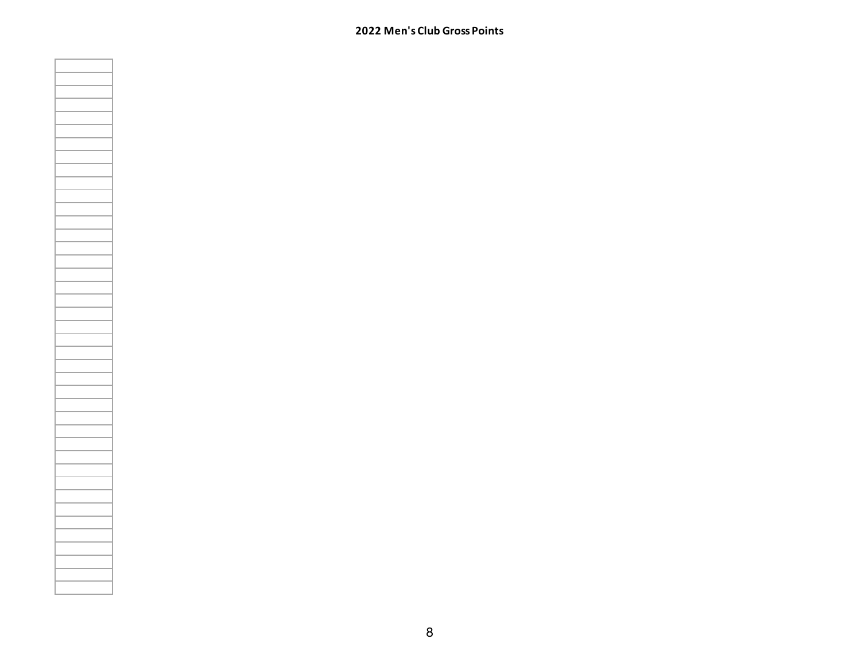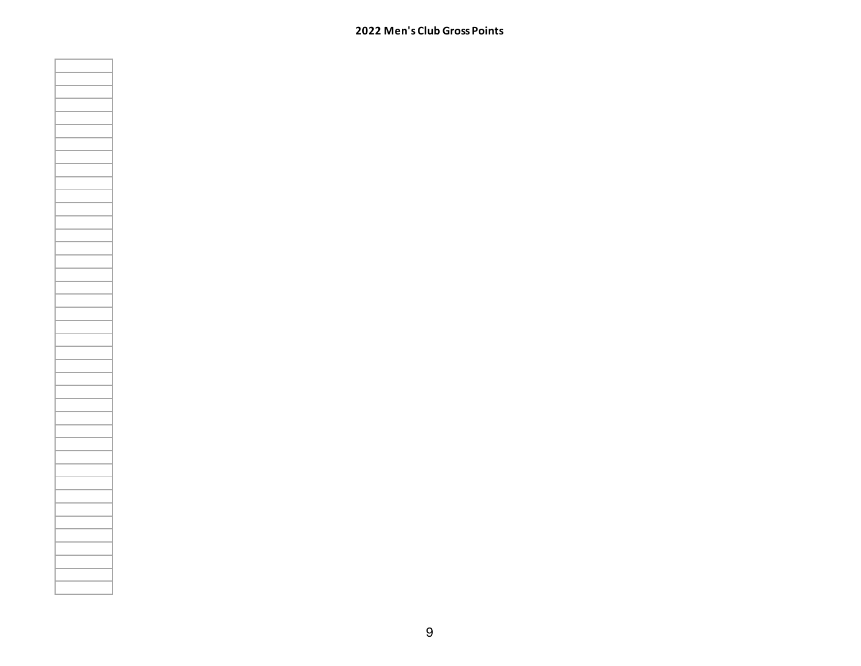